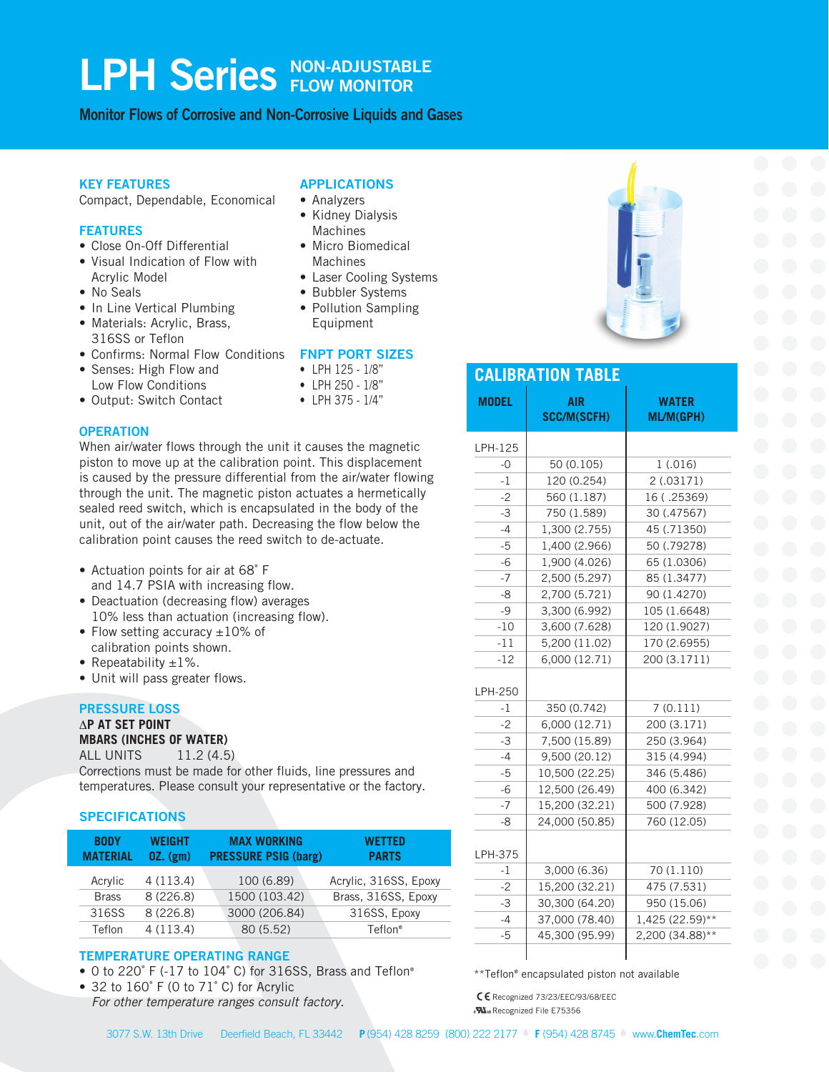# LPH Series **RON-ADJUSTABLE FLOW MONITOR**

**Monitor Flows of Corrosive and Non-Corrosive Liquids and Gases**

#### **KEY FEATURES**

Compact, Dependable, Economical

#### **FEATURES**

- Close On-Off Differential
- Visual Indication of Flow with Acrylic Model
- No Seals
- In Line Vertical Plumbing • Materials: Acrylic, Brass,
- 316SS or Teflon
- Confirms: Normal Flow Conditions **FNPT PORT SIZES**
- Senses: High Flow and Low Flow Conditions
- Output: Switch Contact

piston to move up at the calibration point. This displacement unit, out of the air/water path. Decreasing the flow below the calibration point causes the reed switch to de-actuate.

- Actuation points for air at 68˚ F
- Deactuation (decreasing flow) averages
- calibration points shown.
- 
- 

#### **PRESSURE LOSS**

## ∆**P AT SET POINT**

**MBARS (INCHES OF WATER)** ALL UNITS 11.2 (4.5)

Corrections must be made for other fluids, line pressures and temperatures. Please consult your representative or the factory.

### **SPECIFICATIONS**

| <b>BODY</b><br><b>MATERIAL</b> | <b>WEIGHT</b><br>$0Z.$ (gm) | <b>MAX WORKING</b><br><b>PRESSURE PSIG (barg)</b> | <b>WETTED</b><br><b>PARTS</b> |  |  |
|--------------------------------|-----------------------------|---------------------------------------------------|-------------------------------|--|--|
| Acrylic                        | 4(113.4)                    | 100 (6.89)                                        | Acrylic, 316SS, Epoxy         |  |  |
| <b>Brass</b>                   | 8(226.8)                    | 1500 (103.42)                                     | Brass, 316SS, Epoxy           |  |  |
| 316SS                          | 8(226.8)                    | 3000 (206.84)                                     | 316SS, Epoxy                  |  |  |
| Teflon                         | 4(113.4)                    | 80 (5.52)                                         | Teflon <sup>®</sup>           |  |  |

### **TEMPERATURE OPERATING RANGE**

- 0 to 220˚ F (-17 to 104˚ C) for 316SS, Brass and Teflon®
- 32 to 160˚ F (0 to 71˚ C) for Acrylic *For other temperature ranges consult factory.*

### **APPLICATIONS**

- Analyzers
- Kidney Dialysis Machines
- Micro Biomedical Machines
- Laser Cooling Systems
- Bubbler Systems
- Pollution Sampling Equipment

- LPH 125 1/8"
- LPH 250 1/8"
- LPH 375 1/4"
- **OPERATION** When air/water flows through the unit it causes the magnetic is caused by the pressure differential from the air/water flowing through the unit. The magnetic piston actuates a hermetically sealed reed switch, which is encapsulated in the body of the
- and 14.7 PSIA with increasing flow.
- 10% less than actuation (increasing flow).
- Flow setting accuracy  $\pm 10\%$  of
- Repeatability  $\pm 1\%$ .
- Unit will pass greater flows.

CE Recognized 73/23/EEC/93/68/EEC

\*\*Teflon® encapsulated piston not available



| <b>MODEL</b> | <b>AIR</b><br><b>SCC/M(SCFH)</b> | <b>WATER</b><br>ML/M(GPH) |  |  |  |  |  |  |  |
|--------------|----------------------------------|---------------------------|--|--|--|--|--|--|--|
| LPH-125      |                                  |                           |  |  |  |  |  |  |  |
| -0           | 50 (0.105)                       | 1(.016)                   |  |  |  |  |  |  |  |
| $-1$         | 120 (0.254)                      | 2(.03171)                 |  |  |  |  |  |  |  |
| $-2$         | 560 (1.187)                      | 16 (.25369)               |  |  |  |  |  |  |  |
| $-3$         | 750 (1.589)                      | 30 (.47567)               |  |  |  |  |  |  |  |
| $-4$         | 1,300 (2.755)                    | 45 (.71350)               |  |  |  |  |  |  |  |
| $-5$         | 1,400 (2.966)                    | 50 (.79278)               |  |  |  |  |  |  |  |
| $-6$         | 1,900 (4.026)                    | 65 (1.0306)               |  |  |  |  |  |  |  |
| $-7$         | 2,500 (5.297)                    | 85 (1.3477)               |  |  |  |  |  |  |  |
| $-8$         | 2,700 (5.721)                    | 90 (1.4270)               |  |  |  |  |  |  |  |
| $-9$         | 3,300 (6.992)                    | 105 (1.6648)              |  |  |  |  |  |  |  |
| $-10$        | 3,600 (7.628)                    | 120 (1.9027)              |  |  |  |  |  |  |  |
| $-11$        | 5,200 (11.02)                    | 170 (2.6955)              |  |  |  |  |  |  |  |
| $-12$        | 6,000 (12.71)                    | 200 (3.1711)              |  |  |  |  |  |  |  |
| LPH-250      |                                  |                           |  |  |  |  |  |  |  |
| $-1$         | 350 (0.742)                      | 7(0.111)                  |  |  |  |  |  |  |  |
| $-2$         | 6,000 (12.71)                    | 200 (3.171)               |  |  |  |  |  |  |  |
| $-3$         | 7,500 (15.89)                    | 250 (3.964)               |  |  |  |  |  |  |  |
| $-4$         | 9,500 (20.12)                    | 315 (4.994)               |  |  |  |  |  |  |  |
| -5           | 10,500 (22.25)                   | 346 (5.486)               |  |  |  |  |  |  |  |
| $-6$         | 12,500 (26.49)                   | 400 (6.342)               |  |  |  |  |  |  |  |
| $-7$         | 15,200 (32.21)                   | 500 (7.928)               |  |  |  |  |  |  |  |
| -8           | 24,000 (50.85)                   | 760 (12.05)               |  |  |  |  |  |  |  |
| LPH-375      |                                  |                           |  |  |  |  |  |  |  |
| $-1$         | 3,000 (6.36)                     | 70 (1.110)                |  |  |  |  |  |  |  |
| $-2$         | 15,200 (32.21)                   | 475 (7.531)               |  |  |  |  |  |  |  |
| $-3$         | 30,300 (64.20)                   | 950 (15.06)               |  |  |  |  |  |  |  |
| $-4$         | 37,000 (78.40)                   | 1,425 (22.59)**           |  |  |  |  |  |  |  |
| $-5$         | 45,300 (95.99)                   | 2,200 (34.88)**           |  |  |  |  |  |  |  |
|              |                                  |                           |  |  |  |  |  |  |  |

**CALIBRATION TABLE**